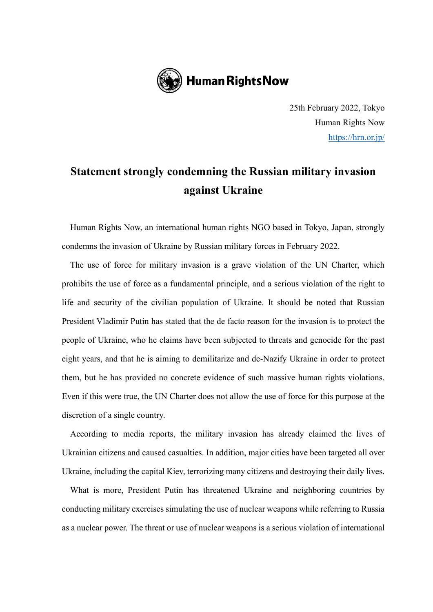

25th February 2022, Tokyo Human Rights Now <https://hrn.or.jp/>

## **Statement strongly condemning the Russian military invasion against Ukraine**

Human Rights Now, an international human rights NGO based in Tokyo, Japan, strongly condemns the invasion of Ukraine by Russian military forces in February 2022.

The use of force for military invasion is a grave violation of the UN Charter, which prohibits the use of force as a fundamental principle, and a serious violation of the right to life and security of the civilian population of Ukraine. It should be noted that Russian President Vladimir Putin has stated that the de facto reason for the invasion is to protect the people of Ukraine, who he claims have been subjected to threats and genocide for the past eight years, and that he is aiming to demilitarize and de-Nazify Ukraine in order to protect them, but he has provided no concrete evidence of such massive human rights violations. Even if this were true, the UN Charter does not allow the use of force for this purpose at the discretion of a single country.

According to media reports, the military invasion has already claimed the lives of Ukrainian citizens and caused casualties. In addition, major cities have been targeted all over Ukraine, including the capital Kiev, terrorizing many citizens and destroying their daily lives.

What is more, President Putin has threatened Ukraine and neighboring countries by conducting military exercises simulating the use of nuclear weapons while referring to Russia as a nuclear power. The threat or use of nuclear weapons is a serious violation of international